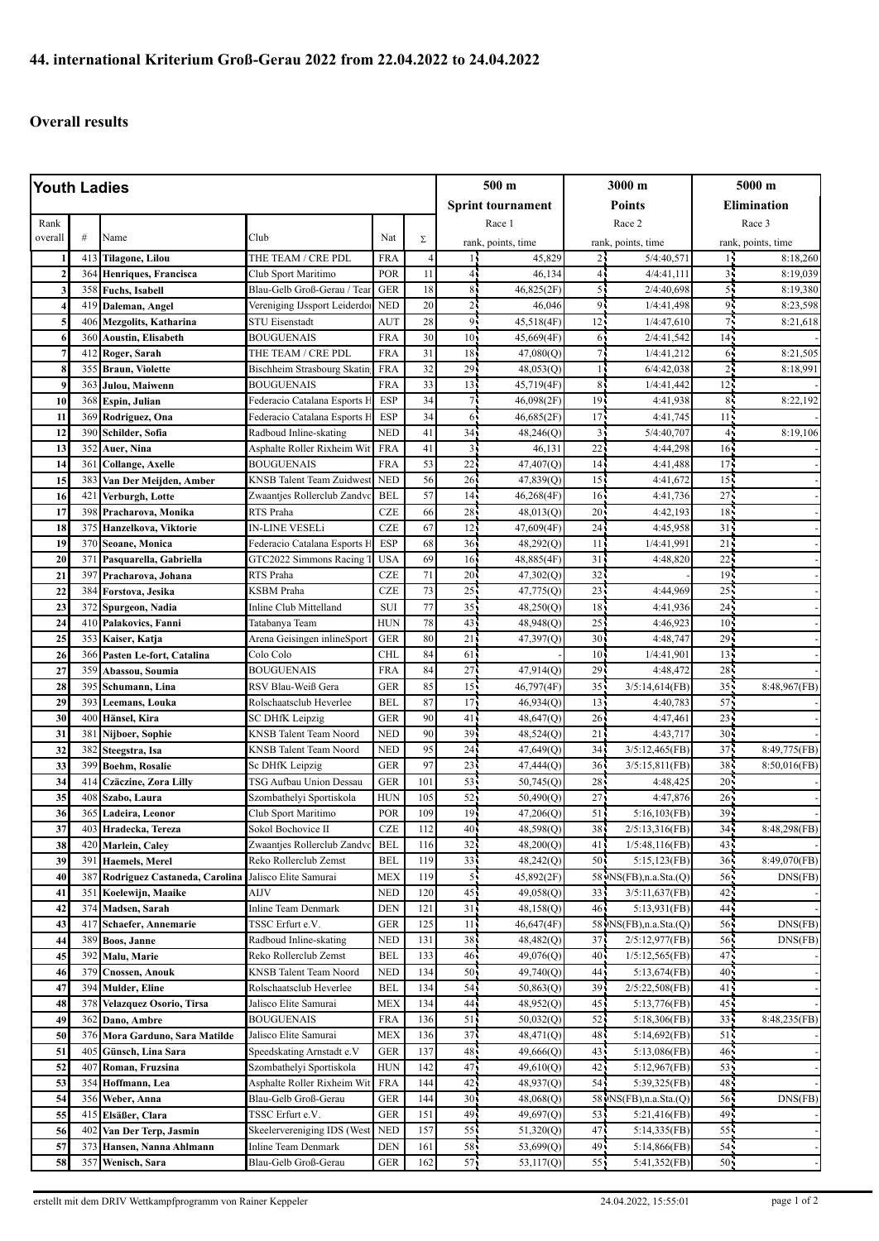## **Overall results**

| Youth Ladies |            |                                         |                                                        |                          |            | 500 m                    |                        | 3000 m             |                                            | 5000 m                    |                                 |
|--------------|------------|-----------------------------------------|--------------------------------------------------------|--------------------------|------------|--------------------------|------------------------|--------------------|--------------------------------------------|---------------------------|---------------------------------|
|              |            |                                         |                                                        |                          |            | <b>Sprint tournament</b> |                        | Points             |                                            | <b>Elimination</b>        |                                 |
| Rank         |            |                                         |                                                        |                          |            | Race 1                   |                        | Race 2             |                                            | Race 3                    |                                 |
| overall      | #          | Name                                    | Club                                                   | Nat                      | Σ          | rank, points, time       |                        | rank, points, time |                                            | rank, points, time        |                                 |
|              | 413        | <b>Tilagone, Lilou</b>                  | THE TEAM / CRE PDL                                     | <b>FRA</b>               |            |                          | 45,829                 | 2۱                 | 5/4:40,571                                 | 16                        | 8:18,260                        |
|              | 364        | Henriques, Francisca                    | Club Sport Maritimo                                    | POR                      | 11         | 41                       | 46,134                 | 41                 | 4/4:41,111                                 | 35                        | 8:19,039                        |
| 3            | 358        | <b>Fuchs, Isabell</b>                   | Blau-Gelb Groß-Gerau / Tear                            | <b>GER</b>               | 18         | 8 <sub>1</sub>           | 46,825(2F)             | 5.                 | 2/4:40,698                                 | 5 <sup>1</sup>            | 8:19,380                        |
|              | 419        | Daleman, Angel                          | Vereniging IJssport Leiderdor                          | <b>NED</b>               | 20         | $\overline{c}$           | 46,046                 | 91                 | 1/4:41,498                                 | 95                        | 8:23,598                        |
| 5            | 406        | <b>Mezgolits, Katharina</b>             | <b>STU Eisenstadt</b>                                  | <b>AUT</b>               | 28         | 9                        | 45,518(4F)             | 12                 | 1/4:47,610                                 | 75                        | 8:21,618                        |
| 6            | 360        | <b>Aoustin, Elisabeth</b>               | <b>BOUGUENAIS</b>                                      | <b>FRA</b>               | 30         | $101$                    | 45,669(4F)             | 61                 | 2/4:41,542                                 | 14 <sub>1</sub>           |                                 |
| 7            | 412        | Roger, Sarah                            | THE TEAM / CRE PDL                                     | <b>FRA</b>               | 31         | 18                       | 47,080(Q)              |                    | 1/4:41,212                                 | 61                        | 8:21,505                        |
| 8            | 355        | <b>Braun, Violette</b>                  | Bischheim Strasbourg Skating                           | <b>FRA</b>               | 32         | 29                       | 48,053(Q)              |                    | 6/4:42,038                                 | 25                        | 8:18,991                        |
| 9            | 363        | Julou, Maiwenn                          | <b>BOUGUENAIS</b>                                      | <b>FRA</b>               | 33         | 13                       | 45,719(4F)             | 8 <sub>1</sub>     | 1/4:41,442                                 | 12 <sup>7</sup>           |                                 |
| 10           | 368        | Espin, Julian                           | Federacio Catalana Esports H                           | <b>ESP</b>               | 34         | 71                       | 46,098(2F)             | 19                 | 4:41,938                                   | 8 <sub>1</sub>            | 8:22,192                        |
| 11<br>12     | 369<br>390 | Rodriguez, Ona                          | Federacio Catalana Esports F<br>Radboud Inline-skating | <b>ESP</b><br><b>NED</b> | 34<br>41   | 65<br>34                 | 46,685(2F)             | 17<br>3            | 4:41,745<br>5/4:40,707                     | 11 <sub>2</sub><br>45     | 8:19,106                        |
| 13           | 352        | Schilder, Sofia<br>Auer, Nina           | Asphalte Roller Rixheim Wit                            | <b>FRA</b>               | 41         | $\overline{3}$           | 48,246(Q)<br>46,131    | 22                 | 4:44,298                                   | 16 <sub>1</sub>           |                                 |
| 14           | 361        | <b>Collange, Axelle</b>                 | <b>BOUGUENAIS</b>                                      | <b>FRA</b>               | 53         | 22                       | 47,407(O)              | 14                 | 4:41,488                                   | $17 -$                    |                                 |
| 15           | 383        | Van Der Meijden, Amber                  | <b>KNSB</b> Talent Team Zuidwest                       | <b>NED</b>               | 56         | 26                       | 47,839(Q)              | 15                 | 4:41,672                                   | 15 <sub>1</sub>           |                                 |
| 16           | 421        | Verburgh, Lotte                         | Zwaantjes Rollerclub Zandvo                            | <b>BEL</b>               | 57         | 14                       | 46,268(4F)             | 16 <sup>1</sup>    | 4:41,736                                   | 27.                       |                                 |
| 17           | 398        | Pracharova, Monika                      | RTS Praha                                              | <b>CZE</b>               | 66         | 28                       | 48,013(Q)              | 20 <sub>1</sub>    | 4:42,193                                   | $18 -$                    |                                 |
| 18           | 375        | Hanzelkova, Viktorie                    | IN-LINE VESELi                                         | <b>CZE</b>               | 67         | 12                       | 47,609(4F)             | 24 <sub>1</sub>    | 4:45,958                                   | 31 <sup>7</sup>           |                                 |
| 19           | 370        | Seoane, Monica                          | Federacio Catalana Esports I                           | ESP                      | 68         | 36                       | 48,292(Q)              | 11                 | 1/4:41,991                                 | 21                        |                                 |
| 20           | 371        | Pasquarella, Gabriella                  | GTC2022 Simmons Racing 7                               | <b>USA</b>               | 69         | 16 <sup>1</sup>          | 48,885(4F)             | 31                 | 4:48.820                                   | $22 -$                    |                                 |
| 21           | 397        | Pracharova, Johana                      | RTS Praha                                              | <b>CZE</b>               | 71         | 20 <sup>1</sup>          | 47,302(Q)              | 32                 |                                            | 19 <sup>2</sup>           |                                 |
| 22           | 384        | Forstova, Jesika                        | KSBM Praha                                             | <b>CZE</b>               | 73         | 25                       | 47,775(Q)              | 23                 | 4:44,969                                   | $25 -$                    |                                 |
| 23           | 372        | Spurgeon, Nadia                         | Inline Club Mittelland                                 | <b>SUI</b>               | 77         | 35                       | 48,250(Q)              | 18                 | 4:41,936                                   | 24 <sub>1</sub>           |                                 |
| 24           | 410        | Palakovics, Fanni                       | Tatabanya Team                                         | <b>HUN</b>               | 78         | 43                       | 48,948(Q)              | 25                 | 4:46,923                                   | 10 <sup>7</sup>           |                                 |
| 25           | 353        | Kaiser, Katja                           | Arena Geisingen inlineSport                            | <b>GER</b>               | 80         | 21                       | 47,397(Q)              | 30 <sup>1</sup>    | 4:48,747                                   | $29 -$                    |                                 |
| 26           | 366        | Pasten Le-fort, Catalina                | Colo Colo                                              | <b>CHL</b>               | 84         | 61                       |                        | 10 <sup>1</sup>    | 1/4:41,901                                 | 13 <sup>1</sup>           |                                 |
| 27           | 359        | Abassou, Soumia                         | <b>BOUGUENAIS</b>                                      | <b>FRA</b>               | 84         | 27                       | 47,914(Q)              | 29                 | 4:48,472                                   | $28 -$                    |                                 |
| 28           | 395        | Schumann, Lina                          | RSV Blau-Weiß Gera                                     | <b>GER</b>               | 85         | 15                       | 46,797(4F)             | 35                 | 3/5:14,614(FB)                             | 35 <sub>1</sub>           | 8:48,967(FB)                    |
| 29           | 393        | Leemans, Louka                          | Rolschaatsclub Heverlee                                | <b>BEL</b>               | 87         | 17 <sup>1</sup>          | 46,934(Q)              | 13                 | 4:40,783                                   | $57 -$                    |                                 |
| 30           | 400        | Hänsel, Kira                            | SC DHfK Leipzig                                        | <b>GER</b>               | 90         | 41                       | 48,647(Q)              | 26 <sub>1</sub>    | 4:47,461                                   | 23 <sup>2</sup>           |                                 |
| 31<br>32     | 381<br>382 | Nijboer, Sophie                         | KNSB Talent Team Noord                                 | <b>NED</b>               | 90<br>95   | 39<br>24                 | 48,524(Q)              | 21<br>34           | 4:43,717<br>3/5:12,465(FB)                 | 30 <sub>1</sub><br>$37 -$ |                                 |
| 33           | 399        | Steegstra, Isa<br><b>Boehm, Rosalie</b> | KNSB Talent Team Noord<br>Sc DHfK Leipzig              | NED<br><b>GER</b>        | 97         | 23                       | 47,649(Q)<br>47,444(Q) | 36 <sub>1</sub>    | 3/5:15,811(FB)                             | 38                        | 8:49,775(FB)<br>$8:50,016$ (FB) |
| 34           | 414        | Czäczine, Zora Lilly                    | TSG Aufbau Union Dessau                                | <b>GER</b>               | 101        | 53                       | 50,745(Q)              | 28                 | 4:48,425                                   | 20 <sub>1</sub>           |                                 |
| 35           | 408        | Szabo, Laura                            | Szombathelyi Sportiskola                               | <b>HUN</b>               | 105        | 52                       | 50,490(Q)              | 27                 | 4:47,876                                   | 26 <sub>1</sub>           |                                 |
| 36           | 365        | Ladeira, Leonor                         | Club Sport Maritimo                                    | POR                      | 109        | 19 <sup>7</sup>          | 47,206(Q)              | 51                 | 5:16,103(FB)                               | 39.                       |                                 |
| 37           |            | 403 Hradecka, Tereza                    | Sokol Bochovice II                                     | <b>CZE</b>               | 112        | 40 <sub>1</sub>          | 48,598(Q)              | 38                 | $2/5:13,316$ (FB)                          | $34 -$                    | 8:48,298(FB)                    |
| 38           | 420        | Marlein, Caley                          | Zwaantjes Rollerclub Zandvc                            | <b>BEL</b>               | 116        | 32 <sub>1</sub>          | 48,200(Q)              | 41 <sub>1</sub>    | 1/5:48,116(FB)                             | $43 -$                    |                                 |
| 39           | 391        | <b>Haemels</b> , Merel                  | Reko Rollerclub Zemst                                  | <b>BEL</b>               | 119        | 33                       | 48,242(Q)              | 50                 | 5:15,123(FB)                               | 36 <sup>7</sup>           | 8:49,070(FB)                    |
| 40           | 387        | Rodriguez Castaneda, Carolina           | Jalisco Elite Samurai                                  | <b>MEX</b>               | 119        | 51                       | 45,892(2F)             |                    | 58 NS(FB), n.a. Sta.(Q)                    | 56                        | DNS(FB)                         |
| 41           | 351        | Koelewijn, Maaike                       | AIJV                                                   | NED                      | 120        | 45                       | 49,058(Q)              | 33                 | 3/5:11,637(FB)                             | 42.                       |                                 |
| 42           | 374        | Madsen, Sarah                           | <b>Inline Team Denmark</b>                             | DEN                      | 121        | 31                       | 48,158(Q)              | 46                 | 5:13,931(FB)                               | 44.                       |                                 |
| 43           | 417        | Schaefer, Annemarie                     | TSSC Erfurt e.V.                                       | GER                      | 125        | 11                       | 46,647(4F)             |                    | 58 NS(FB), n.a. Sta. (Q)                   | 56.                       | DNS(FB)                         |
| 44           | 389        | Boos, Janne                             | Radboud Inline-skating                                 | NED                      | 131        | 38                       | 48,482 <sub>(Q)</sub>  | 37 <sub>1</sub>    | 2/5:12,977(FB)                             | 56.                       | DNS(FB)                         |
| 45           | 392        | Malu, Marie                             | Reko Rollerclub Zemst                                  | <b>BEL</b>               | 133        | 46                       | 49,076(Q)              | 40                 | 1/5:12,565(FB)                             | 47.                       |                                 |
| 46           | 379        | <b>Cnossen, Anouk</b>                   | KNSB Talent Team Noord                                 | NED                      | 134        | 50                       | 49,740 <sub>(Q)</sub>  | 44                 | 5:13,674(FB)                               | 40                        |                                 |
| 47           | 394        | <b>Mulder, Eline</b>                    | Rolschaatsclub Heverlee                                | <b>BEL</b>               | 134        | 54                       | 50,863(Q)              | $39 -$             | 2/5:22,508(FB)                             | 41 <sub>1</sub>           |                                 |
| 48           | 378        | Velazquez Osorio, Tirsa                 | Jalisco Elite Samurai                                  | <b>MEX</b>               | 134        | 44                       | 48,952(Q)              | 45                 | 5:13,776(FB)                               | 45 <sub>1</sub>           |                                 |
| 49           | 362        | Dano, Ambre                             | <b>BOUGUENAIS</b>                                      | <b>FRA</b>               | 136        | 51                       | 50,032(Q)              | 52                 | 5:18,306(FB)                               | 33.                       | 8:48,235(FB)                    |
| 50           | 376        | Mora Garduno, Sara Matilde              | Jalisco Elite Samurai                                  | <b>MEX</b>               | 136        | 37.                      | 48,471 <sub>(Q)</sub>  | 48                 | 5:14,692(FB)                               | 51                        |                                 |
| 51           | 405        | Günsch, Lina Sara                       | Speedskating Arnstadt e.V                              | GER                      | 137<br>142 | 48                       | 49,666(Q)              | 43                 | $5:13,086$ (FB)                            | 46 <sub>1</sub>           |                                 |
| 52<br>53     | 407        | Roman, Fruzsina                         | Szombathelyi Sportiskola                               | <b>HUN</b><br><b>FRA</b> | 144        | 47<br>42                 | 49,610(Q)<br>48,937(Q) | 42<br>54           | 5:12,967(FB)                               | 53<br>48.                 |                                 |
| 54           | 354<br>356 | Hoffmann, Lea<br>Weber, Anna            | Asphalte Roller Rixheim Wit<br>Blau-Gelb Groß-Gerau    | GER                      | 144        | 30                       | 48,068(Q)              |                    | 5:39,325(FB)<br>58 · NS(FB), n.a. Sta. (Q) | 56.                       | DNS(FB)                         |
| 55           | 415        | Elsäßer, Clara                          | TSSC Erfurt e.V.                                       | GER                      | 151        | 49                       | 49,697(Q)              | 53                 | 5:21,416(FB)                               | 49.                       |                                 |
| 56           | 402        | Van Der Terp, Jasmin                    | Skeelervereniging IDS (West                            | <b>NED</b>               | 157        | 55.                      | 51,320(Q)              | 47                 | 5:14,335(FB)                               | 55.                       |                                 |
| 57           | 373        | Hansen, Nanna Ahlmann                   | Inline Team Denmark                                    | DEN                      | 161        | 58                       | 53,699(Q)              | 49                 | 5:14,866(FB)                               | 54.                       |                                 |
| 58           | 357        | Wenisch, Sara                           | Blau-Gelb Groß-Gerau                                   | <b>GER</b>               | 162        | 57.                      | 53,117(Q)              | 55 <sub>1</sub>    | 5:41,352(FB)                               | 50.                       |                                 |
|              |            |                                         |                                                        |                          |            |                          |                        |                    |                                            |                           |                                 |